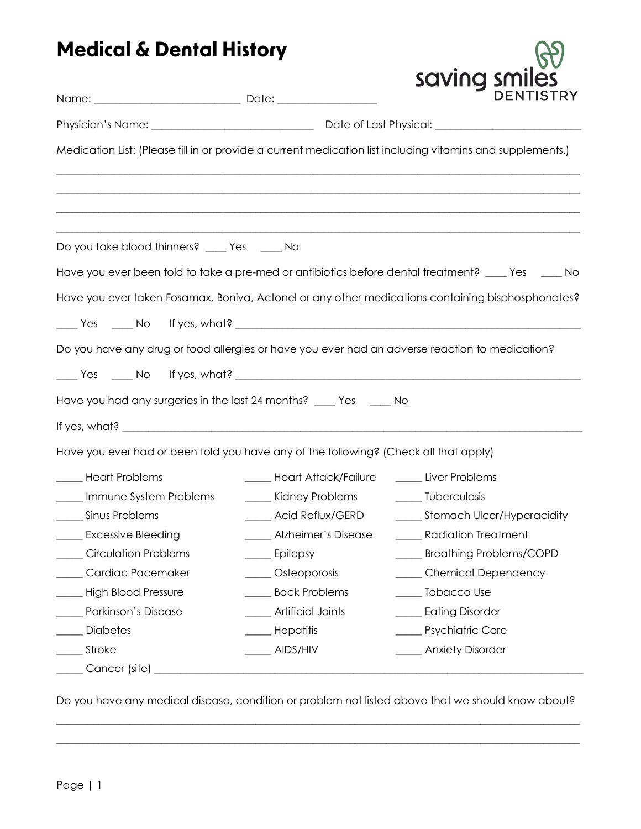## **Medical & Dental History**

| <b>Medical &amp; Delital History</b>                                                                       |                                                  |                                                                                                    |  |  |
|------------------------------------------------------------------------------------------------------------|--------------------------------------------------|----------------------------------------------------------------------------------------------------|--|--|
|                                                                                                            |                                                  | saving smiles<br><b>DENTISTRY</b>                                                                  |  |  |
|                                                                                                            |                                                  |                                                                                                    |  |  |
| Medication List: (Please fill in or provide a current medication list including vitamins and supplements.) |                                                  |                                                                                                    |  |  |
| Do you take blood thinners? ____ Yes ____ No                                                               |                                                  |                                                                                                    |  |  |
|                                                                                                            |                                                  | Have you ever been told to take a pre-med or antibiotics before dental treatment? ____ Yes ____ No |  |  |
|                                                                                                            |                                                  | Have you ever taken Fosamax, Boniva, Actonel or any other medications containing bisphosphonates?  |  |  |
| Do you have any drug or food allergies or have you ever had an adverse reaction to medication?             |                                                  |                                                                                                    |  |  |
|                                                                                                            |                                                  |                                                                                                    |  |  |
| Have you had any surgeries in the last 24 months? ____ Yes ____ No                                         |                                                  |                                                                                                    |  |  |
|                                                                                                            |                                                  |                                                                                                    |  |  |
| Have you ever had or been told you have any of the following? (Check all that apply)                       |                                                  |                                                                                                    |  |  |
| _____ Heart Problems                                                                                       | _____ Heart Attack/Failure ______ Liver Problems |                                                                                                    |  |  |
| Immune System Problems                                                                                     | Kidney Problems _______ Tuberculosis             |                                                                                                    |  |  |
| Sinus Problems                                                                                             |                                                  | Acid Reflux/GERD _________ Stomach Ulcer/Hyperacidity                                              |  |  |
| <b>Excessive Bleeding</b>                                                                                  | Alzheimer's Disease                              | <b>Radiation Treatment</b>                                                                         |  |  |
| <b>Circulation Problems</b>                                                                                | Epilepsy                                         | <b>Breathing Problems/COPD</b>                                                                     |  |  |
| Cardiac Pacemaker                                                                                          | ____ Osteoporosis                                | ____ Chemical Dependency                                                                           |  |  |
| High Blood Pressure                                                                                        | <b>Back Problems</b>                             | _____ Tobacco Use                                                                                  |  |  |
| Parkinson's Disease                                                                                        | Artificial Joints                                | ____ Eating Disorder                                                                               |  |  |
| Diabetes                                                                                                   | Hepatitis                                        | <b>Exercise Psychiatric Care</b>                                                                   |  |  |
| Stroke                                                                                                     | AIDS/HIV                                         | <b>Example 21</b> Anxiety Disorder                                                                 |  |  |
| Cancer (site) _                                                                                            |                                                  |                                                                                                    |  |  |

Do you have any medical disease, condition or problem not listed above that we should know about?  $\_$  , and the set of the set of the set of the set of the set of the set of the set of the set of the set of the set of the set of the set of the set of the set of the set of the set of the set of the set of the set of th

 $\_$  , and the set of the set of the set of the set of the set of the set of the set of the set of the set of the set of the set of the set of the set of the set of the set of the set of the set of the set of the set of th